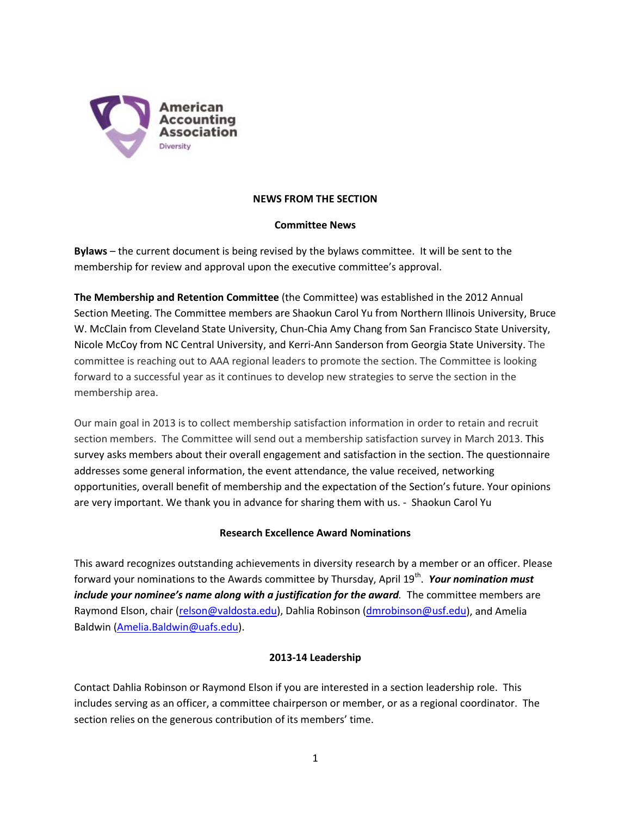

# **NEWS FROM THE SECTION**

## **Committee News**

**Bylaws** – the current document is being revised by the bylaws committee. It will be sent to the membership for review and approval upon the executive committee's approval.

**The Membership and Retention Committee** (the Committee) was established in the 2012 Annual Section Meeting. The Committee members are Shaokun Carol Yu from Northern Illinois University, Bruce W. McClain from Cleveland State University, Chun-Chia Amy Chang from San Francisco State University, Nicole McCoy from NC Central University, and Kerri-Ann Sanderson from Georgia State University. The committee is reaching out to AAA regional leaders to promote the section. The Committee is looking forward to a successful year as it continues to develop new strategies to serve the section in the membership area.

Our main goal in 2013 is to collect membership satisfaction information in order to retain and recruit section members. The Committee will send out a membership satisfaction survey in March 2013. This survey asks members about their overall engagement and satisfaction in the section. The questionnaire addresses some general information, the event attendance, the value received, networking opportunities, overall benefit of membership and the expectation of the Section's future. Your opinions are very important. We thank you in advance for sharing them with us. - Shaokun Carol Yu

## **Research Excellence Award Nominations**

This award recognizes outstanding achievements in diversity research by a member or an officer. Please forward your nominations to the Awards committee by Thursday, April 19th. *Your nomination must include your nominee's name along with a justification for the award.* The committee members are Raymond Elson, chair [\(relson@valdosta.edu\)](mailto:relson@valdosta.edu), Dahlia Robinson [\(dmrobinson@usf.edu\)](mailto:dmrobinson@usf.edu), and Amelia Baldwin [\(Amelia.Baldwin@uafs.edu\)](mailto:Amelia.Baldwin@uafs.edu).

## **2013-14 Leadership**

Contact Dahlia Robinson or Raymond Elson if you are interested in a section leadership role. This includes serving as an officer, a committee chairperson or member, or as a regional coordinator. The section relies on the generous contribution of its members' time.